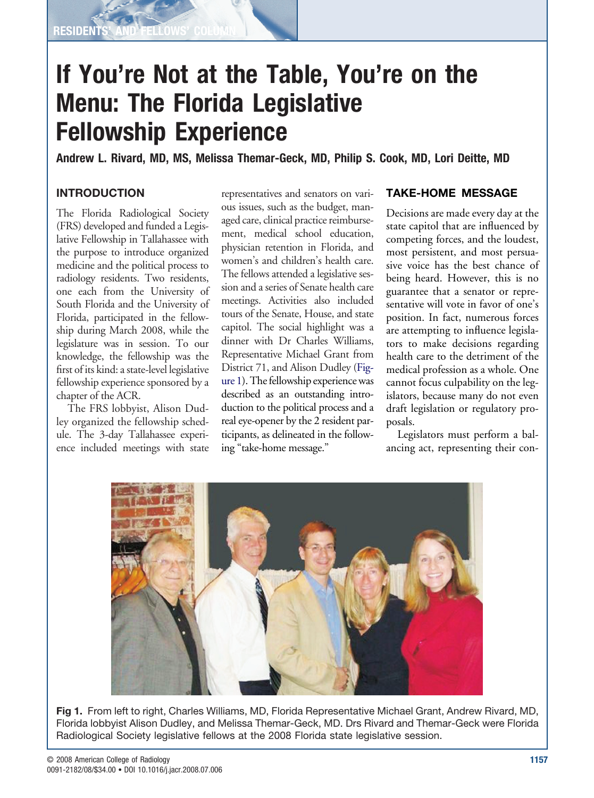**RESIDENT** 

## **If You're Not at the Table, You're on the Menu: The Florida Legislative Fellowship Experience**

**Andrew L. Rivard, MD, MS, Melissa Themar-Geck, MD, Philip S. Cook, MD, Lori Deitte, MD**

## **INTRODUCTION**

The Florida Radiological Society (FRS) developed and funded a Legislative Fellowship in Tallahassee with the purpose to introduce organized medicine and the political process to radiology residents. Two residents, one each from the University of South Florida and the University of Florida, participated in the fellowship during March 2008, while the legislature was in session. To our knowledge, the fellowship was the first of its kind: a state-level legislative fellowship experience sponsored by a chapter of the ACR.

The FRS lobbyist, Alison Dudley organized the fellowship schedule. The 3-day Tallahassee experience included meetings with state

representatives and senators on various issues, such as the budget, managed care, clinical practice reimbursement, medical school education, physician retention in Florida, and women's and children's health care. The fellows attended a legislative session and a series of Senate health care meetings. Activities also included tours of the Senate, House, and state capitol. The social highlight was a dinner with Dr Charles Williams, Representative Michael Grant from District 71, and Alison Dudley (Figure 1). The fellowship experience was described as an outstanding introduction to the political process and a real eye-opener by the 2 resident participants, as delineated in the following "take-home message."

## **TAKE-HOME MESSAGE**

Decisions are made every day at the state capitol that are influenced by competing forces, and the loudest, most persistent, and most persuasive voice has the best chance of being heard. However, this is no guarantee that a senator or representative will vote in favor of one's position. In fact, numerous forces are attempting to influence legislators to make decisions regarding health care to the detriment of the medical profession as a whole. One cannot focus culpability on the legislators, because many do not even draft legislation or regulatory proposals.

Legislators must perform a balancing act, representing their con-



**Fig 1.** From left to right, Charles Williams, MD, Florida Representative Michael Grant, Andrew Rivard, MD, Florida lobbyist Alison Dudley, and Melissa Themar-Geck, MD. Drs Rivard and Themar-Geck were Florida Radiological Society legislative fellows at the 2008 Florida state legislative session.